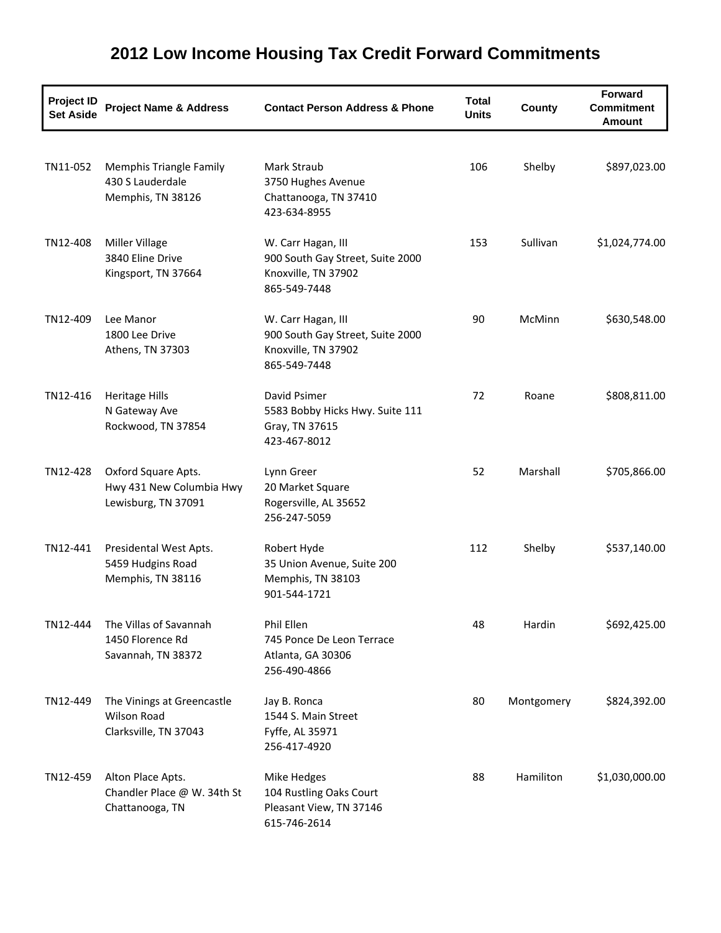| <b>Project ID</b><br><b>Set Aside</b> | <b>Project Name &amp; Address</b>                                         | <b>Contact Person Address &amp; Phone</b>                                                     | <b>Total</b><br><b>Units</b> | County     | <b>Forward</b><br><b>Commitment</b><br><b>Amount</b> |
|---------------------------------------|---------------------------------------------------------------------------|-----------------------------------------------------------------------------------------------|------------------------------|------------|------------------------------------------------------|
| TN11-052                              | <b>Memphis Triangle Family</b><br>430 S Lauderdale<br>Memphis, TN 38126   | <b>Mark Straub</b><br>3750 Hughes Avenue<br>Chattanooga, TN 37410<br>423-634-8955             | 106                          | Shelby     | \$897,023.00                                         |
| TN12-408                              | Miller Village<br>3840 Eline Drive<br>Kingsport, TN 37664                 | W. Carr Hagan, III<br>900 South Gay Street, Suite 2000<br>Knoxville, TN 37902<br>865-549-7448 | 153                          | Sullivan   | \$1,024,774.00                                       |
| TN12-409                              | Lee Manor<br>1800 Lee Drive<br>Athens, TN 37303                           | W. Carr Hagan, III<br>900 South Gay Street, Suite 2000<br>Knoxville, TN 37902<br>865-549-7448 | 90                           | McMinn     | \$630,548.00                                         |
| TN12-416                              | Heritage Hills<br>N Gateway Ave<br>Rockwood, TN 37854                     | David Psimer<br>5583 Bobby Hicks Hwy. Suite 111<br>Gray, TN 37615<br>423-467-8012             | 72                           | Roane      | \$808,811.00                                         |
| TN12-428                              | Oxford Square Apts.<br>Hwy 431 New Columbia Hwy<br>Lewisburg, TN 37091    | Lynn Greer<br>20 Market Square<br>Rogersville, AL 35652<br>256-247-5059                       | 52                           | Marshall   | \$705,866.00                                         |
| TN12-441                              | Presidental West Apts.<br>5459 Hudgins Road<br>Memphis, TN 38116          | Robert Hyde<br>35 Union Avenue, Suite 200<br>Memphis, TN 38103<br>901-544-1721                | 112                          | Shelby     | \$537,140.00                                         |
| TN12-444                              | The Villas of Savannah<br>1450 Florence Rd<br>Savannah, TN 38372          | Phil Ellen<br>745 Ponce De Leon Terrace<br>Atlanta, GA 30306<br>256-490-4866                  | 48                           | Hardin     | \$692,425.00                                         |
| TN12-449                              | The Vinings at Greencastle<br><b>Wilson Road</b><br>Clarksville, TN 37043 | Jay B. Ronca<br>1544 S. Main Street<br>Fyffe, AL 35971<br>256-417-4920                        | 80                           | Montgomery | \$824,392.00                                         |
| TN12-459                              | Alton Place Apts.<br>Chandler Place @ W. 34th St<br>Chattanooga, TN       | Mike Hedges<br>104 Rustling Oaks Court<br>Pleasant View, TN 37146<br>615-746-2614             | 88                           | Hamiliton  | \$1,030,000.00                                       |

## **2012 Low Income Housing Tax Credit Forward Commitments**